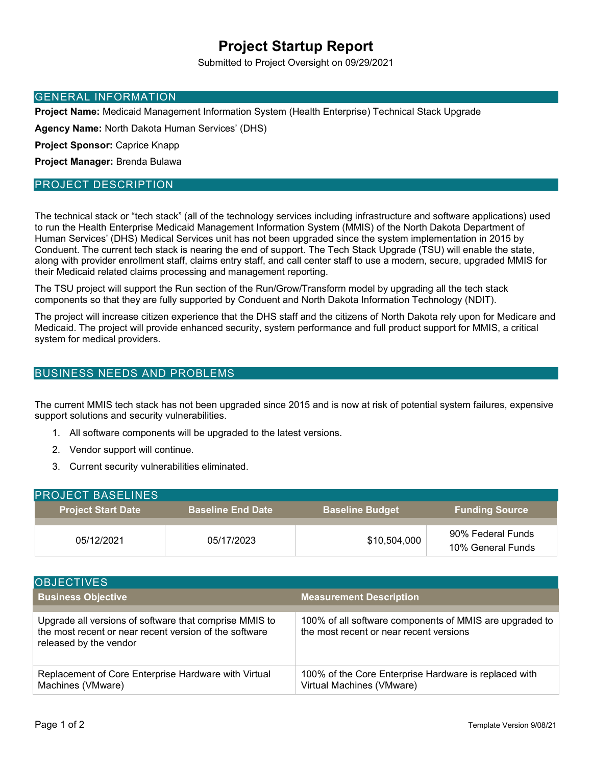# **Project Startup Report**

Submitted to Project Oversight on 09/29/2021

#### GENERAL INFORMATION

**Project Name:** Medicaid Management Information System (Health Enterprise) Technical Stack Upgrade

**Agency Name:** North Dakota Human Services' (DHS)

**Project Sponsor:** Caprice Knapp

**Project Manager:** Brenda Bulawa

### PROJECT DESCRIPTION

The technical stack or "tech stack" (all of the technology services including infrastructure and software applications) used to run the Health Enterprise Medicaid Management Information System (MMIS) of the North Dakota Department of Human Services' (DHS) Medical Services unit has not been upgraded since the system implementation in 2015 by Conduent. The current tech stack is nearing the end of support. The Tech Stack Upgrade (TSU) will enable the state, along with provider enrollment staff, claims entry staff, and call center staff to use a modern, secure, upgraded MMIS for their Medicaid related claims processing and management reporting.

The TSU project will support the Run section of the Run/Grow/Transform model by upgrading all the tech stack components so that they are fully supported by Conduent and North Dakota Information Technology (NDIT).

The project will increase citizen experience that the DHS staff and the citizens of North Dakota rely upon for Medicare and Medicaid. The project will provide enhanced security, system performance and full product support for MMIS, a critical system for medical providers.

### BUSINESS NEEDS AND PROBLEMS

The current MMIS tech stack has not been upgraded since 2015 and is now at risk of potential system failures, expensive support solutions and security vulnerabilities.

- 1. All software components will be upgraded to the latest versions.
- 2. Vendor support will continue.
- 3. Current security vulnerabilities eliminated.

| <b>PROJECT BASELINES</b>  |                          |                        |                                        |
|---------------------------|--------------------------|------------------------|----------------------------------------|
| <b>Project Start Date</b> | <b>Baseline End Date</b> | <b>Baseline Budget</b> | <b>Funding Source</b>                  |
| 05/12/2021                | 05/17/2023               | \$10,504,000           | 90% Federal Funds<br>10% General Funds |

| <b>OBJECTIVES</b>                                                                                                                          |                                                                                                    |
|--------------------------------------------------------------------------------------------------------------------------------------------|----------------------------------------------------------------------------------------------------|
| <b>Business Objective</b>                                                                                                                  | <b>Measurement Description</b>                                                                     |
| Upgrade all versions of software that comprise MMIS to<br>the most recent or near recent version of the software<br>released by the vendor | 100% of all software components of MMIS are upgraded to<br>the most recent or near recent versions |
| Replacement of Core Enterprise Hardware with Virtual<br>Machines (VMware)                                                                  | 100% of the Core Enterprise Hardware is replaced with<br>Virtual Machines (VMware)                 |